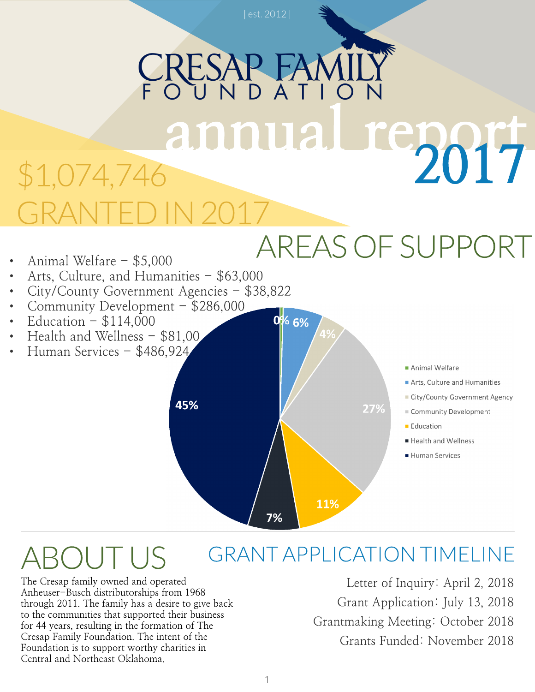## RESAP I annual report 2017 \$1,074,746 GRANTED IN 2017

### AREASOFSUPPORT

- Animal Welfare  $-$  \$5,000
- Arts, Culture, and Humanities \$63,000
- City/County Government Agencies \$38,822
- Community Development \$286,000
- Education  $-$  \$114,000
- Health and Wellness \$81,00
- Human Services \$486,924



0% 6%

- Animal Welfare
- Arts, Culture and Humanities
- City/County Government Agency
- Community Development
- **Education**
- Health and Wellness
- Human Services

#### GRANTAPPLICATION TIMELINE  $\bigcap$

The Cresap family owned and operated Anheuser-Busch distributorships from 1968 through 2011. The family has a desire to give back to the communities that supported their business for 44 years, resulting in the formation of The Cresap Family Foundation. The intent of the Foundation is to support worthy charities in Central and Northeast Oklahoma.

Letter of Inquiry: April 2, 2018 Grant Application: July 13, 2018 Grantmaking Meeting: October 2018 Grants Funded: November 2018